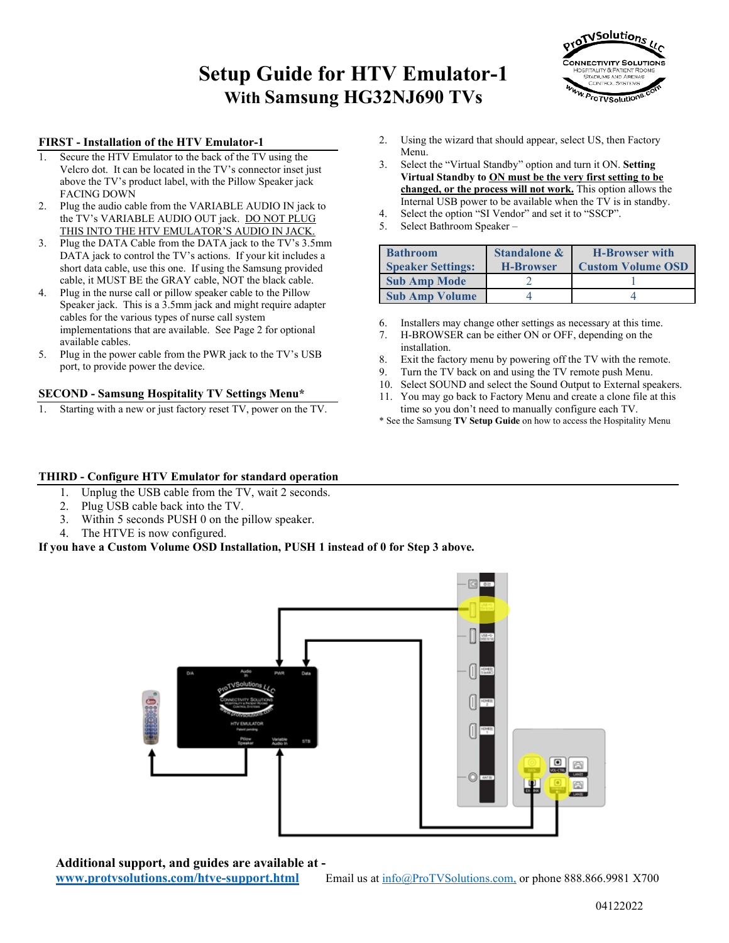## **Setup Guide for HTV Emulator-1 With Samsung HG32NJ690 TVs**



#### **FIRST - Installation of the HTV Emulator-1**

- Secure the HTV Emulator to the back of the TV using the Velcro dot. It can be located in the TV's connector inset just above the TV's product label, with the Pillow Speaker jack FACING DOWN
- 2. Plug the audio cable from the VARIABLE AUDIO IN jack to the TV's VARIABLE AUDIO OUT jack. DO NOT PLUG THIS INTO THE HTV EMULATOR'S AUDIO IN JACK.
- 3. Plug the DATA Cable from the DATA jack to the TV's 3.5mm DATA jack to control the TV's actions. If your kit includes a short data cable, use this one. If using the Samsung provided cable, it MUST BE the GRAY cable, NOT the black cable.
- 4. Plug in the nurse call or pillow speaker cable to the Pillow Speaker jack. This is a 3.5mm jack and might require adapter cables for the various types of nurse call system implementations that are available. See Page 2 for optional available cables.
- 5. Plug in the power cable from the PWR jack to the TV's USB port, to provide power the device.

#### **SECOND - Samsung Hospitality TV Settings Menu\***

Starting with a new or just factory reset TV, power on the TV.

- 2. Using the wizard that should appear, select US, then Factory Menu.
- 3. Select the "Virtual Standby" option and turn it ON. **Setting Virtual Standby to ON must be the very first setting to be changed, or the process will not work.** This option allows the Internal USB power to be available when the TV is in standby.
- 4. Select the option "SI Vendor" and set it to "SSCP".
- 5. Select Bathroom Speaker –

| <b>Bathroom</b>          | <b>Standalone &amp;</b><br><b>H-Browser with</b> |                          |  |
|--------------------------|--------------------------------------------------|--------------------------|--|
| <b>Speaker Settings:</b> | <b>H-Browser</b>                                 | <b>Custom Volume OSD</b> |  |
| <b>Sub Amp Mode</b>      |                                                  |                          |  |
| <b>Sub Amp Volume</b>    |                                                  |                          |  |

- 6. Installers may change other settings as necessary at this time.
- 7. H-BROWSER can be either ON or OFF, depending on the installation.
- 8. Exit the factory menu by powering off the TV with the remote.
- 9. Turn the TV back on and using the TV remote push Menu.
- 10. Select SOUND and select the Sound Output to External speakers.
- 11. You may go back to Factory Menu and create a clone file at this time so you don't need to manually configure each TV.
- \* See the Samsung **TV Setup Guide** on how to access the Hospitality Menu

#### **THIRD - Configure HTV Emulator for standard operation**

- 1. Unplug the USB cable from the TV, wait 2 seconds.
- 2. Plug USB cable back into the TV.
- 3. Within 5 seconds PUSH 0 on the pillow speaker.
- 4. The HTVE is now configured.

**If you have a Custom Volume OSD Installation, PUSH 1 instead of 0 for Step 3 above.**



**Additional support, and guides are available at -**

**[www.protvsolutions.com/htve-support.html](http://www.protvsolutions.com/htve-support.html)** Email us at [info@ProTVSolutions.com,](mailto:info@ProTVSolutions.com) or phone 888.866.9981 X700